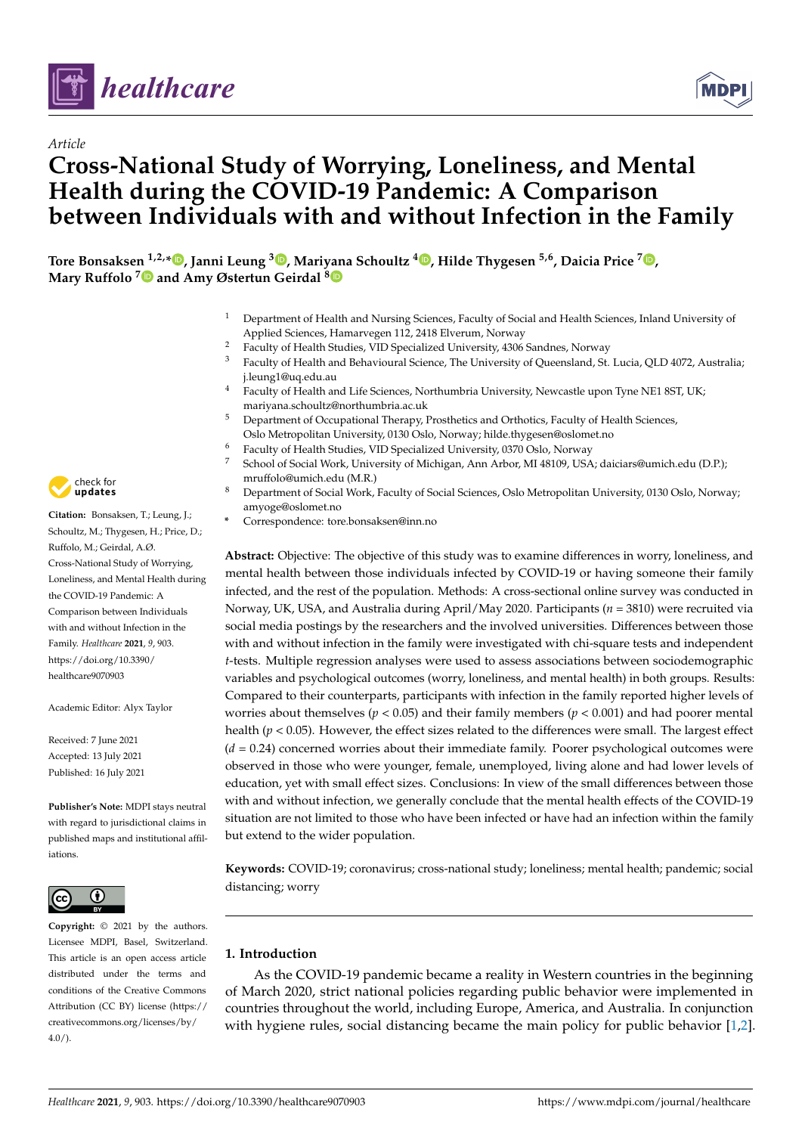



# **Cross-National Study of Worrying, Loneliness, and Mental Health during the COVID-19 Pandemic: A Comparison between Individuals with and without Infection in the Family**

**Tore Bonsaksen 1,2,\* , Janni Leung <sup>3</sup> , Mariyana Schoultz <sup>4</sup> , Hilde Thygesen 5,6, Daicia Price <sup>7</sup> , Mary Ruffolo <sup>7</sup> and Amy Østertun Geirdal <sup>8</sup>**

- <sup>1</sup> Department of Health and Nursing Sciences, Faculty of Social and Health Sciences, Inland University of Applied Sciences, Hamarvegen 112, 2418 Elverum, Norway
- <sup>2</sup> Faculty of Health Studies, VID Specialized University, 4306 Sandnes, Norway
- <sup>3</sup> Faculty of Health and Behavioural Science, The University of Queensland, St. Lucia, QLD 4072, Australia; j.leung1@uq.edu.au
- <sup>4</sup> Faculty of Health and Life Sciences, Northumbria University, Newcastle upon Tyne NE1 8ST, UK; mariyana.schoultz@northumbria.ac.uk
- <sup>5</sup> Department of Occupational Therapy, Prosthetics and Orthotics, Faculty of Health Sciences, Oslo Metropolitan University, 0130 Oslo, Norway; hilde.thygesen@oslomet.no
- <sup>6</sup> Faculty of Health Studies, VID Specialized University, 0370 Oslo, Norway
- <sup>7</sup> School of Social Work, University of Michigan, Ann Arbor, MI 48109, USA; daiciars@umich.edu (D.P.); mruffolo@umich.edu (M.R.)
- <sup>8</sup> Department of Social Work, Faculty of Social Sciences, Oslo Metropolitan University, 0130 Oslo, Norway; amyoge@oslomet.no
- **\*** Correspondence: tore.bonsaksen@inn.no

**Abstract:** Objective: The objective of this study was to examine differences in worry, loneliness, and mental health between those individuals infected by COVID-19 or having someone their family infected, and the rest of the population. Methods: A cross-sectional online survey was conducted in Norway, UK, USA, and Australia during April/May 2020. Participants (*n* = 3810) were recruited via social media postings by the researchers and the involved universities. Differences between those with and without infection in the family were investigated with chi-square tests and independent *t*-tests. Multiple regression analyses were used to assess associations between sociodemographic variables and psychological outcomes (worry, loneliness, and mental health) in both groups. Results: Compared to their counterparts, participants with infection in the family reported higher levels of worries about themselves ( $p < 0.05$ ) and their family members ( $p < 0.001$ ) and had poorer mental health ( $p < 0.05$ ). However, the effect sizes related to the differences were small. The largest effect (*d* = 0.24) concerned worries about their immediate family. Poorer psychological outcomes were observed in those who were younger, female, unemployed, living alone and had lower levels of education, yet with small effect sizes. Conclusions: In view of the small differences between those with and without infection, we generally conclude that the mental health effects of the COVID-19 situation are not limited to those who have been infected or have had an infection within the family but extend to the wider population.

**Keywords:** COVID-19; coronavirus; cross-national study; loneliness; mental health; pandemic; social distancing; worry

# **1. Introduction**

As the COVID-19 pandemic became a reality in Western countries in the beginning of March 2020, strict national policies regarding public behavior were implemented in countries throughout the world, including Europe, America, and Australia. In conjunction with hygiene rules, social distancing became the main policy for public behavior [1,2].



*Article*

**Citation:** Bonsaksen, T.; Leung, J.; Schoultz, M.; Thygesen, H.; Price, D.; Ruffolo, M.; Geirdal, A.Ø. Cross-National Study of Worrying, Loneliness, and Mental Health during the COVID-19 Pandemic: A Comparison between Individuals with and without Infection in the Family. *Healthcare* **2021**, *9*, 903. https://doi.org/10.3390/ healthcare9070903

Academic Editor: Alyx Taylor

Received: 7 June 2021 Accepted: 13 July 2021 Published: 16 July 2021

**Publisher's Note:** MDPI stays neutral with regard to jurisdictional claims in published maps and institutional affiliations.



**Copyright:** © 2021 by the authors. Licensee MDPI, Basel, Switzerland. This article is an open access article distributed under the terms and conditions of the Creative Commons Attribution (CC BY) license (https:// creativecommons.org/licenses/by/  $4.0/$ ).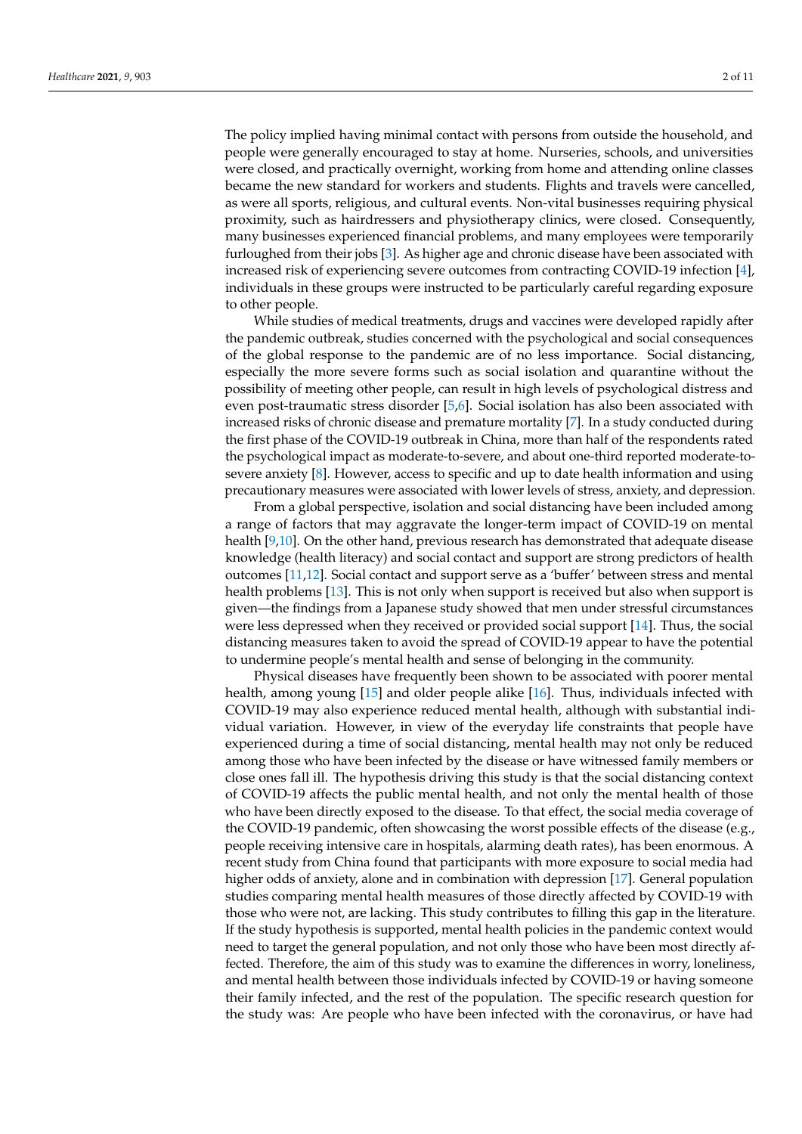The policy implied having minimal contact with persons from outside the household, and people were generally encouraged to stay at home. Nurseries, schools, and universities were closed, and practically overnight, working from home and attending online classes became the new standard for workers and students. Flights and travels were cancelled, as were all sports, religious, and cultural events. Non-vital businesses requiring physical proximity, such as hairdressers and physiotherapy clinics, were closed. Consequently, many businesses experienced financial problems, and many employees were temporarily furloughed from their jobs [3]. As higher age and chronic disease have been associated with increased risk of experiencing severe outcomes from contracting COVID-19 infection [4], individuals in these groups were instructed to be particularly careful regarding exposure to other people.

While studies of medical treatments, drugs and vaccines were developed rapidly after the pandemic outbreak, studies concerned with the psychological and social consequences of the global response to the pandemic are of no less importance. Social distancing, especially the more severe forms such as social isolation and quarantine without the possibility of meeting other people, can result in high levels of psychological distress and even post-traumatic stress disorder [5,6]. Social isolation has also been associated with increased risks of chronic disease and premature mortality [7]. In a study conducted during the first phase of the COVID-19 outbreak in China, more than half of the respondents rated the psychological impact as moderate-to-severe, and about one-third reported moderate-tosevere anxiety [8]. However, access to specific and up to date health information and using precautionary measures were associated with lower levels of stress, anxiety, and depression.

From a global perspective, isolation and social distancing have been included among a range of factors that may aggravate the longer-term impact of COVID-19 on mental health [9,10]. On the other hand, previous research has demonstrated that adequate disease knowledge (health literacy) and social contact and support are strong predictors of health outcomes [11,12]. Social contact and support serve as a 'buffer' between stress and mental health problems [13]. This is not only when support is received but also when support is given—the findings from a Japanese study showed that men under stressful circumstances were less depressed when they received or provided social support [14]. Thus, the social distancing measures taken to avoid the spread of COVID-19 appear to have the potential to undermine people's mental health and sense of belonging in the community.

Physical diseases have frequently been shown to be associated with poorer mental health, among young [15] and older people alike [16]. Thus, individuals infected with COVID-19 may also experience reduced mental health, although with substantial individual variation. However, in view of the everyday life constraints that people have experienced during a time of social distancing, mental health may not only be reduced among those who have been infected by the disease or have witnessed family members or close ones fall ill. The hypothesis driving this study is that the social distancing context of COVID-19 affects the public mental health, and not only the mental health of those who have been directly exposed to the disease. To that effect, the social media coverage of the COVID-19 pandemic, often showcasing the worst possible effects of the disease (e.g., people receiving intensive care in hospitals, alarming death rates), has been enormous. A recent study from China found that participants with more exposure to social media had higher odds of anxiety, alone and in combination with depression [17]. General population studies comparing mental health measures of those directly affected by COVID-19 with those who were not, are lacking. This study contributes to filling this gap in the literature. If the study hypothesis is supported, mental health policies in the pandemic context would need to target the general population, and not only those who have been most directly affected. Therefore, the aim of this study was to examine the differences in worry, loneliness, and mental health between those individuals infected by COVID-19 or having someone their family infected, and the rest of the population. The specific research question for the study was: Are people who have been infected with the coronavirus, or have had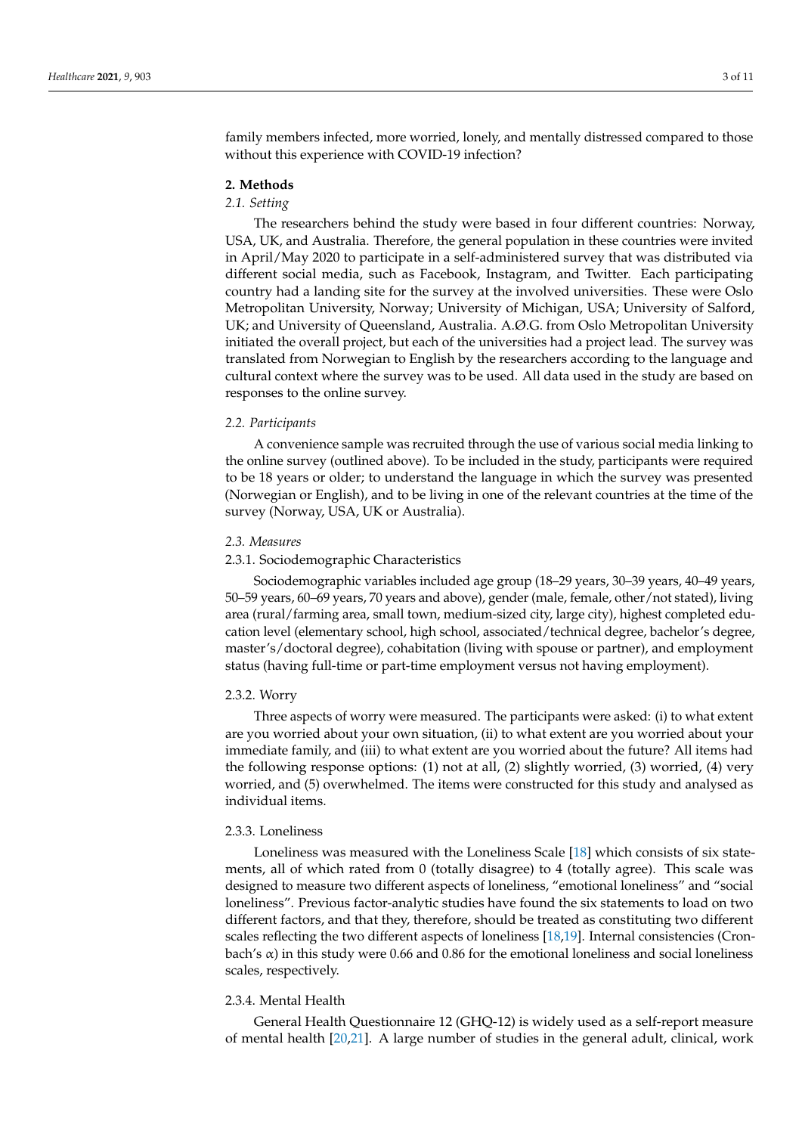family members infected, more worried, lonely, and mentally distressed compared to those without this experience with COVID-19 infection?

## **2. Methods**

# *2.1. Setting*

The researchers behind the study were based in four different countries: Norway, USA, UK, and Australia. Therefore, the general population in these countries were invited in April/May 2020 to participate in a self-administered survey that was distributed via different social media, such as Facebook, Instagram, and Twitter. Each participating country had a landing site for the survey at the involved universities. These were Oslo Metropolitan University, Norway; University of Michigan, USA; University of Salford, UK; and University of Queensland, Australia. A.Ø.G. from Oslo Metropolitan University initiated the overall project, but each of the universities had a project lead. The survey was translated from Norwegian to English by the researchers according to the language and cultural context where the survey was to be used. All data used in the study are based on responses to the online survey.

## *2.2. Participants*

A convenience sample was recruited through the use of various social media linking to the online survey (outlined above). To be included in the study, participants were required to be 18 years or older; to understand the language in which the survey was presented (Norwegian or English), and to be living in one of the relevant countries at the time of the survey (Norway, USA, UK or Australia).

#### *2.3. Measures*

# 2.3.1. Sociodemographic Characteristics

Sociodemographic variables included age group (18–29 years, 30–39 years, 40–49 years, 50–59 years, 60–69 years, 70 years and above), gender (male, female, other/not stated), living area (rural/farming area, small town, medium-sized city, large city), highest completed education level (elementary school, high school, associated/technical degree, bachelor's degree, master's/doctoral degree), cohabitation (living with spouse or partner), and employment status (having full-time or part-time employment versus not having employment).

#### 2.3.2. Worry

Three aspects of worry were measured. The participants were asked: (i) to what extent are you worried about your own situation, (ii) to what extent are you worried about your immediate family, and (iii) to what extent are you worried about the future? All items had the following response options: (1) not at all, (2) slightly worried, (3) worried, (4) very worried, and (5) overwhelmed. The items were constructed for this study and analysed as individual items.

### 2.3.3. Loneliness

Loneliness was measured with the Loneliness Scale [18] which consists of six statements, all of which rated from 0 (totally disagree) to 4 (totally agree). This scale was designed to measure two different aspects of loneliness, "emotional loneliness" and "social loneliness". Previous factor-analytic studies have found the six statements to load on two different factors, and that they, therefore, should be treated as constituting two different scales reflecting the two different aspects of loneliness [18,19]. Internal consistencies (Cronbach's  $\alpha$ ) in this study were 0.66 and 0.86 for the emotional loneliness and social loneliness scales, respectively.

#### 2.3.4. Mental Health

General Health Questionnaire 12 (GHQ-12) is widely used as a self-report measure of mental health [20,21]. A large number of studies in the general adult, clinical, work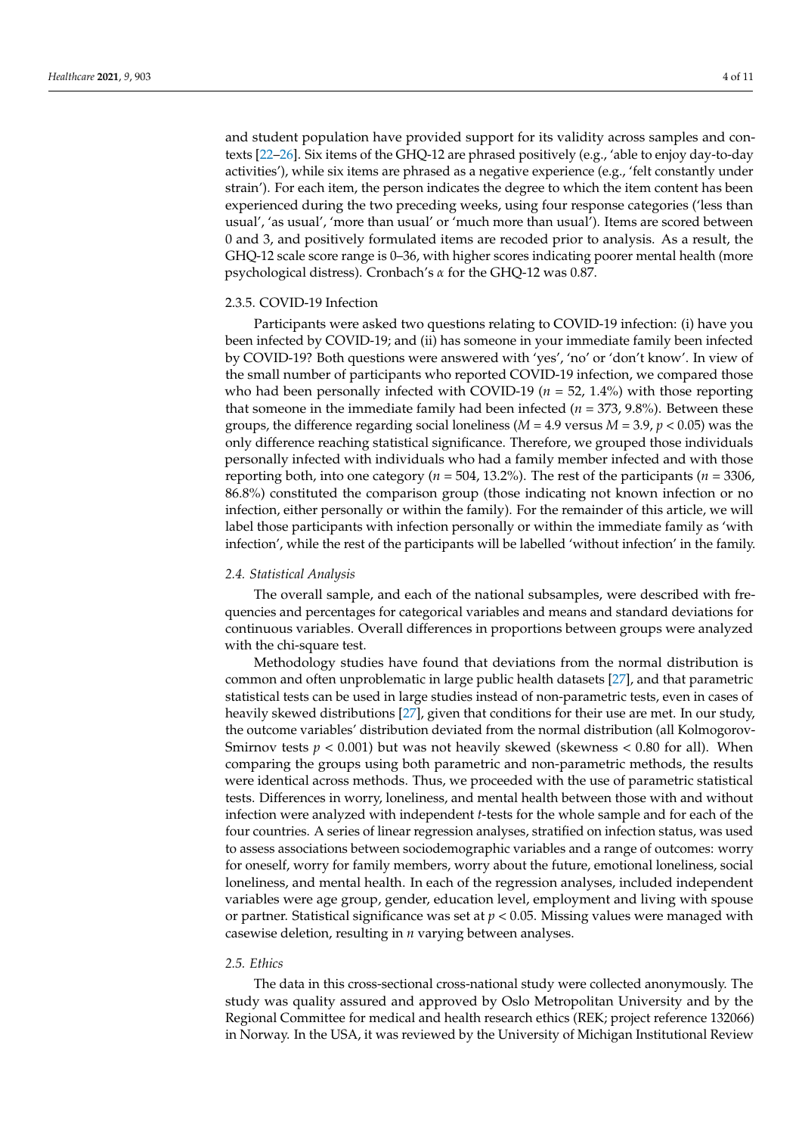and student population have provided support for its validity across samples and contexts [22–26]. Six items of the GHQ-12 are phrased positively (e.g., 'able to enjoy day-to-day activities'), while six items are phrased as a negative experience (e.g., 'felt constantly under strain'). For each item, the person indicates the degree to which the item content has been experienced during the two preceding weeks, using four response categories ('less than usual', 'as usual', 'more than usual' or 'much more than usual'). Items are scored between 0 and 3, and positively formulated items are recoded prior to analysis. As a result, the GHQ-12 scale score range is 0–36, with higher scores indicating poorer mental health (more psychological distress). Cronbach's *α* for the GHQ-12 was 0.87.

# 2.3.5. COVID-19 Infection

Participants were asked two questions relating to COVID-19 infection: (i) have you been infected by COVID-19; and (ii) has someone in your immediate family been infected by COVID-19? Both questions were answered with 'yes', 'no' or 'don't know'. In view of the small number of participants who reported COVID-19 infection, we compared those who had been personally infected with COVID-19 ( $n = 52$ , 1.4%) with those reporting that someone in the immediate family had been infected ( $n = 373, 9.8\%$ ). Between these groups, the difference regarding social loneliness ( $M = 4.9$  versus  $M = 3.9$ ,  $p < 0.05$ ) was the only difference reaching statistical significance. Therefore, we grouped those individuals personally infected with individuals who had a family member infected and with those reporting both, into one category ( $n = 504$ , 13.2%). The rest of the participants ( $n = 3306$ , 86.8%) constituted the comparison group (those indicating not known infection or no infection, either personally or within the family). For the remainder of this article, we will label those participants with infection personally or within the immediate family as 'with infection', while the rest of the participants will be labelled 'without infection' in the family.

#### *2.4. Statistical Analysis*

The overall sample, and each of the national subsamples, were described with frequencies and percentages for categorical variables and means and standard deviations for continuous variables. Overall differences in proportions between groups were analyzed with the chi-square test.

Methodology studies have found that deviations from the normal distribution is common and often unproblematic in large public health datasets [27], and that parametric statistical tests can be used in large studies instead of non-parametric tests, even in cases of heavily skewed distributions [27], given that conditions for their use are met. In our study, the outcome variables' distribution deviated from the normal distribution (all Kolmogorov-Smirnov tests  $p < 0.001$ ) but was not heavily skewed (skewness  $< 0.80$  for all). When comparing the groups using both parametric and non-parametric methods, the results were identical across methods. Thus, we proceeded with the use of parametric statistical tests. Differences in worry, loneliness, and mental health between those with and without infection were analyzed with independent *t*-tests for the whole sample and for each of the four countries. A series of linear regression analyses, stratified on infection status, was used to assess associations between sociodemographic variables and a range of outcomes: worry for oneself, worry for family members, worry about the future, emotional loneliness, social loneliness, and mental health. In each of the regression analyses, included independent variables were age group, gender, education level, employment and living with spouse or partner. Statistical significance was set at  $p < 0.05$ . Missing values were managed with casewise deletion, resulting in *n* varying between analyses.

# *2.5. Ethics*

The data in this cross-sectional cross-national study were collected anonymously. The study was quality assured and approved by Oslo Metropolitan University and by the Regional Committee for medical and health research ethics (REK; project reference 132066) in Norway. In the USA, it was reviewed by the University of Michigan Institutional Review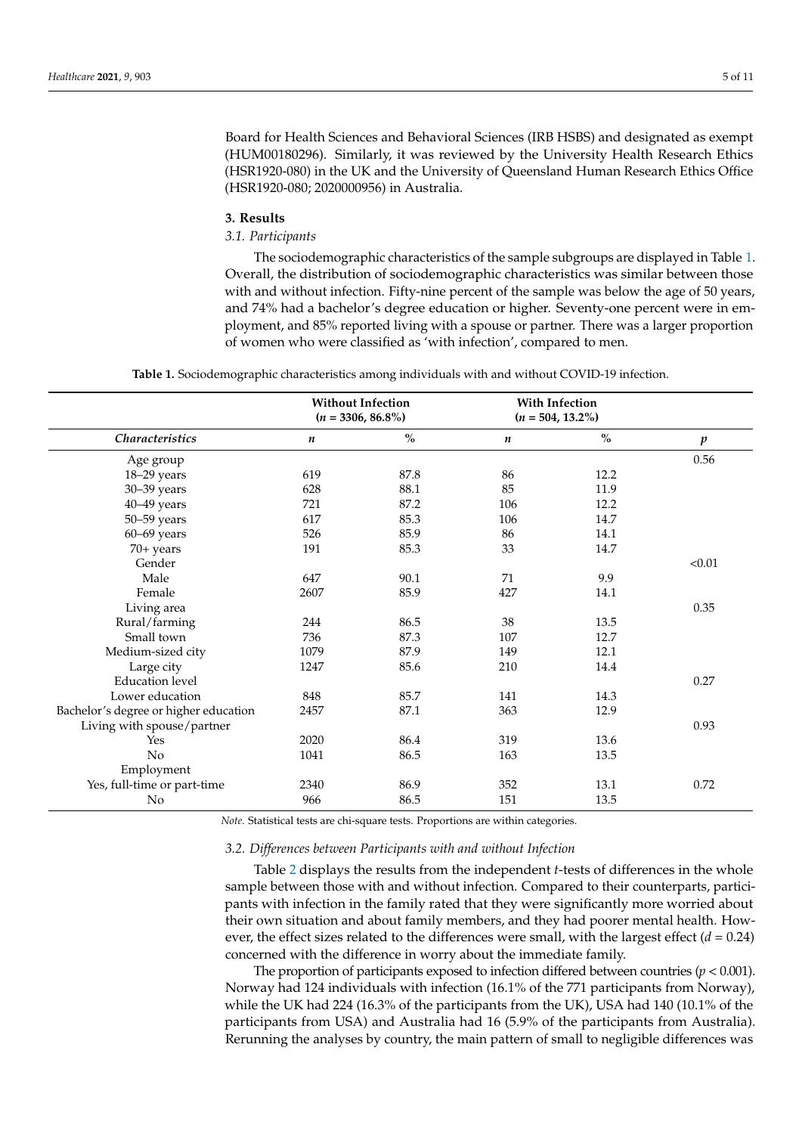Board for Health Sciences and Behavioral Sciences (IRB HSBS) and designated as exempt (HUM00180296). Similarly, it was reviewed by the University Health Research Ethics (HSR1920-080) in the UK and the University of Queensland Human Research Ethics Office (HSR1920-080; 2020000956) in Australia.

## **3. Results**

#### *3.1. Participants*

The sociodemographic characteristics of the sample subgroups are displayed in Table 1. Overall, the distribution of sociodemographic characteristics was similar between those with and without infection. Fifty-nine percent of the sample was below the age of 50 years, and 74% had a bachelor's degree education or higher. Seventy-one percent were in employment, and 85% reported living with a spouse or partner. There was a larger proportion of women who were classified as 'with infection', compared to men.

**Table 1.** Sociodemographic characteristics among individuals with and without COVID-19 infection.

|                                       | <b>Without Infection</b><br>$(n = 3306, 86.8\%)$ |      | <b>With Infection</b><br>$(n = 504, 13.2\%)$ |      |                  |
|---------------------------------------|--------------------------------------------------|------|----------------------------------------------|------|------------------|
| <b>Characteristics</b>                | n                                                | $\%$ | $\boldsymbol{n}$                             | $\%$ | $\boldsymbol{p}$ |
| Age group                             |                                                  |      |                                              |      | 0.56             |
| 18-29 years                           | 619                                              | 87.8 | 86                                           | 12.2 |                  |
| 30-39 years                           | 628                                              | 88.1 | 85                                           | 11.9 |                  |
| 40-49 years                           | 721                                              | 87.2 | 106                                          | 12.2 |                  |
| 50-59 years                           | 617                                              | 85.3 | 106                                          | 14.7 |                  |
| $60 - 69$ years                       | 526                                              | 85.9 | 86                                           | 14.1 |                  |
| $70+$ years                           | 191                                              | 85.3 | 33                                           | 14.7 |                  |
| Gender                                |                                                  |      |                                              |      | < 0.01           |
| Male                                  | 647                                              | 90.1 | 71                                           | 9.9  |                  |
| Female                                | 2607                                             | 85.9 | 427                                          | 14.1 |                  |
| Living area                           |                                                  |      |                                              |      | 0.35             |
| Rural/farming                         | 244                                              | 86.5 | 38                                           | 13.5 |                  |
| Small town                            | 736                                              | 87.3 | 107                                          | 12.7 |                  |
| Medium-sized city                     | 1079                                             | 87.9 | 149                                          | 12.1 |                  |
| Large city                            | 1247                                             | 85.6 | 210                                          | 14.4 |                  |
| <b>Education</b> level                |                                                  |      |                                              |      | 0.27             |
| Lower education                       | 848                                              | 85.7 | 141                                          | 14.3 |                  |
| Bachelor's degree or higher education | 2457                                             | 87.1 | 363                                          | 12.9 |                  |
| Living with spouse/partner            |                                                  |      |                                              |      | 0.93             |
| Yes                                   | 2020                                             | 86.4 | 319                                          | 13.6 |                  |
| No                                    | 1041                                             | 86.5 | 163                                          | 13.5 |                  |
| Employment                            |                                                  |      |                                              |      |                  |
| Yes, full-time or part-time           | 2340                                             | 86.9 | 352                                          | 13.1 | 0.72             |
| No                                    | 966                                              | 86.5 | 151                                          | 13.5 |                  |

*Note.* Statistical tests are chi-square tests. Proportions are within categories.

# *3.2. Differences between Participants with and without Infection*

Table 2 displays the results from the independent *t*-tests of differences in the whole sample between those with and without infection. Compared to their counterparts, participants with infection in the family rated that they were significantly more worried about their own situation and about family members, and they had poorer mental health. However, the effect sizes related to the differences were small, with the largest effect  $(d = 0.24)$ concerned with the difference in worry about the immediate family.

The proportion of participants exposed to infection differed between countries ( $p < 0.001$ ). Norway had 124 individuals with infection (16.1% of the 771 participants from Norway), while the UK had 224 (16.3% of the participants from the UK), USA had 140 (10.1% of the participants from USA) and Australia had 16 (5.9% of the participants from Australia). Rerunning the analyses by country, the main pattern of small to negligible differences was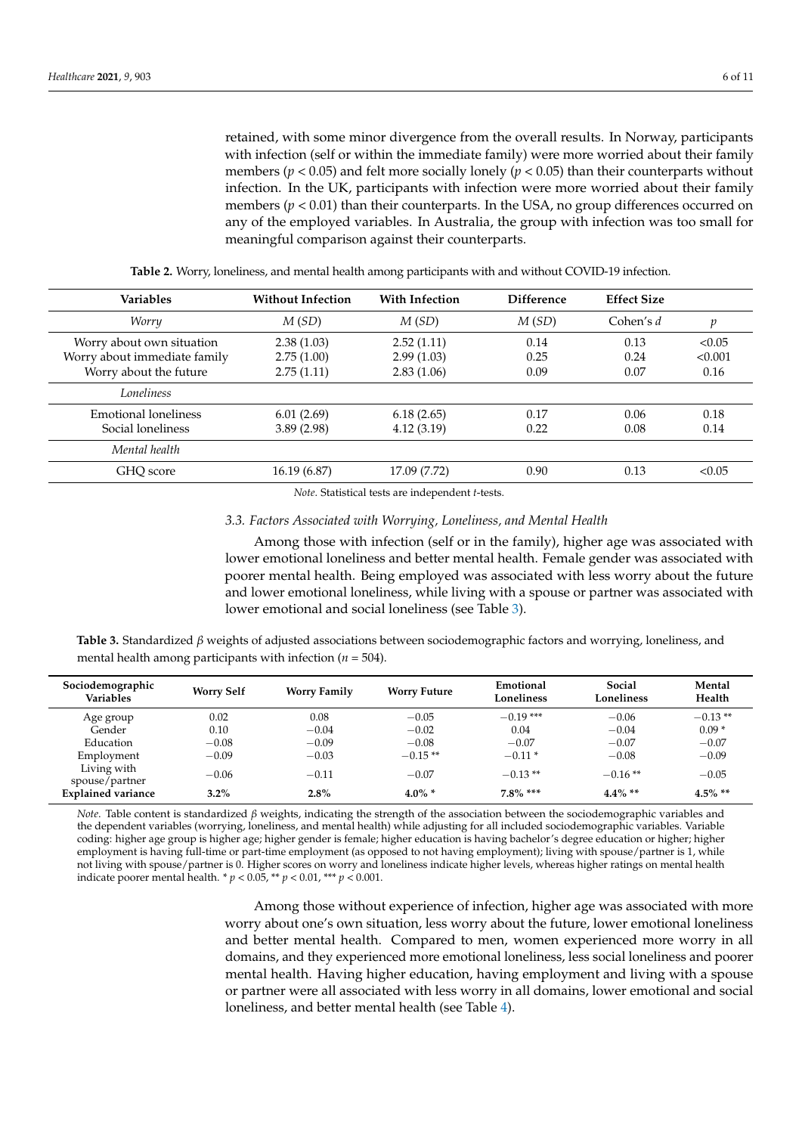retained, with some minor divergence from the overall results. In Norway, participants with infection (self or within the immediate family) were more worried about their family members (*p* < 0.05) and felt more socially lonely (*p* < 0.05) than their counterparts without infection. In the UK, participants with infection were more worried about their family members  $(p < 0.01)$  than their counterparts. In the USA, no group differences occurred on any of the employed variables. In Australia, the group with infection was too small for meaningful comparison against their counterparts.

| <b>Variables</b>                                                                    | <b>Without Infection</b>               | <b>With Infection</b>                  | <b>Difference</b>    | <b>Effect Size</b>   |                           |
|-------------------------------------------------------------------------------------|----------------------------------------|----------------------------------------|----------------------|----------------------|---------------------------|
| Worry                                                                               | M(SD)                                  | M(SD)                                  | M(SD)                | Cohen's $d$          | р                         |
| Worry about own situation<br>Worry about immediate family<br>Worry about the future | 2.38(1.03)<br>2.75(1.00)<br>2.75(1.11) | 2.52(1.11)<br>2.99(1.03)<br>2.83(1.06) | 0.14<br>0.25<br>0.09 | 0.13<br>0.24<br>0.07 | < 0.05<br>< 0.001<br>0.16 |
| Loneliness                                                                          |                                        |                                        |                      |                      |                           |
| Emotional loneliness<br>Social loneliness                                           | 6.01(2.69)<br>3.89(2.98)               | 6.18(2.65)<br>4.12(3.19)               | 0.17<br>0.22         | 0.06<br>0.08         | 0.18<br>0.14              |
| Mental health                                                                       |                                        |                                        |                      |                      |                           |
| GHO score                                                                           | 16.19(6.87)                            | 17.09 (7.72)                           | 0.90                 | 0.13                 | < 0.05                    |

**Table 2.** Worry, loneliness, and mental health among participants with and without COVID-19 infection.

*Note*. Statistical tests are independent *t*-tests.

# *3.3. Factors Associated with Worrying, Loneliness, and Mental Health*

Among those with infection (self or in the family), higher age was associated with lower emotional loneliness and better mental health. Female gender was associated with poorer mental health. Being employed was associated with less worry about the future and lower emotional loneliness, while living with a spouse or partner was associated with lower emotional and social loneliness (see Table 3).

**Table 3.** Standardized *β* weights of adjusted associations between sociodemographic factors and worrying, loneliness, and mental health among participants with infection ( $n = 504$ ).

| Sociodemographic<br><b>Variables</b> | <b>Worry Self</b> | <b>Worry Family</b> | <b>Worry Future</b> | Emotional<br>Loneliness | Social<br>Loneliness | Mental<br>Health |
|--------------------------------------|-------------------|---------------------|---------------------|-------------------------|----------------------|------------------|
| Age group                            | 0.02              | 0.08                | $-0.05$             | $-0.19$ ***             | $-0.06$              | $-0.13**$        |
| Gender                               | 0.10              | $-0.04$             | $-0.02$             | 0.04                    | $-0.04$              | $0.09*$          |
| Education                            | $-0.08$           | $-0.09$             | $-0.08$             | $-0.07$                 | $-0.07$              | $-0.07$          |
| Employment                           | $-0.09$           | $-0.03$             | $-0.15**$           | $-0.11*$                | $-0.08$              | $-0.09$          |
| Living with<br>spouse/partner        | $-0.06$           | $-0.11$             | $-0.07$             | $-0.13**$               | $-0.16**$            | $-0.05$          |
| <b>Explained variance</b>            | $3.2\%$           | $2.8\%$             | $4.0\%$ *           | $7.8\%$ ***             | $4.4\%$ **           | $4.5\%$ **       |

*Note*. Table content is standardized *β* weights, indicating the strength of the association between the sociodemographic variables and the dependent variables (worrying, loneliness, and mental health) while adjusting for all included sociodemographic variables. Variable coding: higher age group is higher age; higher gender is female; higher education is having bachelor's degree education or higher; higher employment is having full-time or part-time employment (as opposed to not having employment); living with spouse/partner is 1, while not living with spouse/partner is 0. Higher scores on worry and loneliness indicate higher levels, whereas higher ratings on mental health indicate poorer mental health. \*  $p < 0.05$ , \*\*  $p < 0.01$ , \*\*\*  $p < 0.001$ .

> Among those without experience of infection, higher age was associated with more worry about one's own situation, less worry about the future, lower emotional loneliness and better mental health. Compared to men, women experienced more worry in all domains, and they experienced more emotional loneliness, less social loneliness and poorer mental health. Having higher education, having employment and living with a spouse or partner were all associated with less worry in all domains, lower emotional and social loneliness, and better mental health (see Table 4).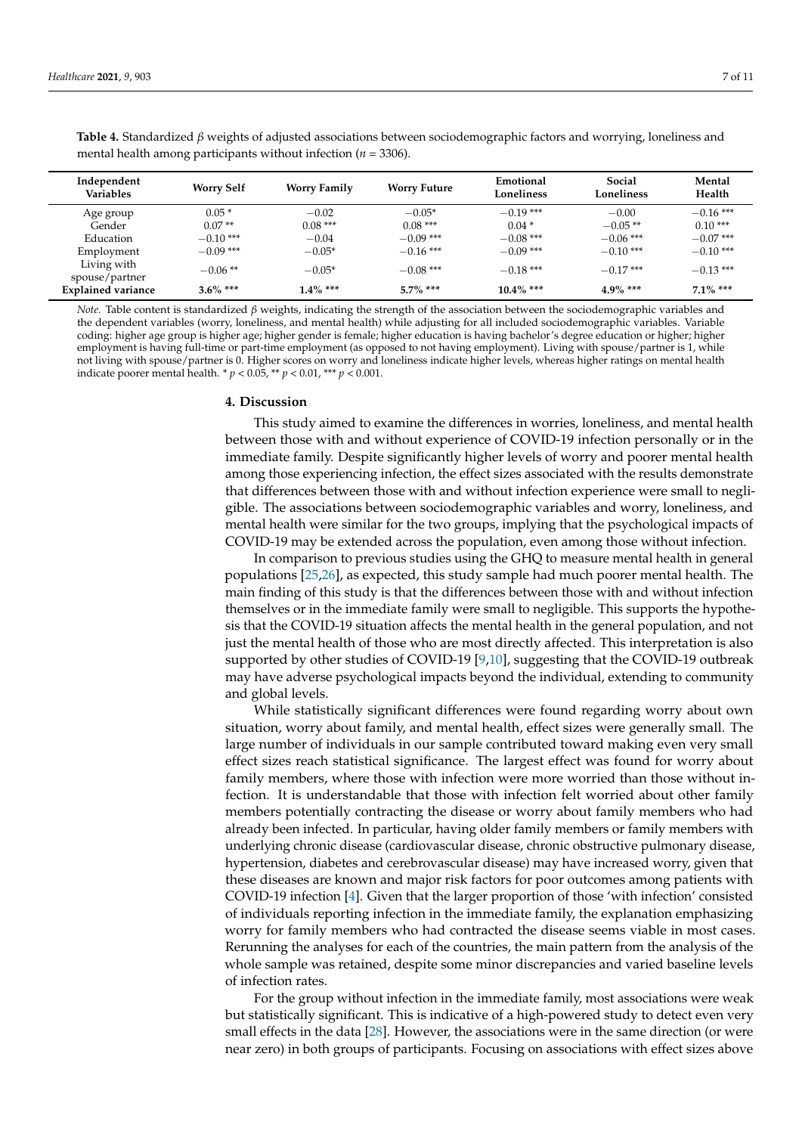Living with

| mental health among participants without infection ( $n = 3306$ ). |                     |                      |                       |                         |                      |                          |  |
|--------------------------------------------------------------------|---------------------|----------------------|-----------------------|-------------------------|----------------------|--------------------------|--|
| Independent<br><b>Variables</b>                                    | <b>Worry Self</b>   | <b>Worry Family</b>  | <b>Worry Future</b>   | Emotional<br>Loneliness | Social<br>Loneliness | Mental<br>Health         |  |
| Age group<br>Gender                                                | $0.05*$<br>$0.07**$ | $-0.02$<br>$0.08***$ | $-0.05*$<br>$0.08***$ | $-0.19$ ***<br>$0.04*$  | $-0.00$<br>$-0.05**$ | $-0.16$ ***<br>$0.10***$ |  |
| Education                                                          | $-0.10***$          | $-0.04$              | $-0.09$ ***           | $-0.08$ ***             | $-0.06$ ***          | $-0.07$ ***              |  |

**Table 4.** Standardized *β* weights of adjusted associations between sociodemographic factors and worrying, loneliness and mental health among participants without infection (*n* = 3306).

*Note*. Table content is standardized *β* weights, indicating the strength of the association between the sociodemographic variables and the dependent variables (worry, loneliness, and mental health) while adjusting for all included sociodemographic variables. Variable coding: higher age group is higher age; higher gender is female; higher education is having bachelor's degree education or higher; higher employment is having full-time or part-time employment (as opposed to not having employment). Living with spouse/partner is 1, while not living with spouse/partner is 0. Higher scores on worry and loneliness indicate higher levels, whereas higher ratings on mental health indicate poorer mental health. \* *p* < 0.05, \*\* *p* < 0.01, \*\*\* *p* < 0.001.

Employment −0.09 \*\*\* −0.05\* −0.16 \*\*\* −0.09 \*\*\* −0.10 \*\*\* −0.10 \*\*\*

 $-0.06$ \*\*  $-0.05$ \*  $-0.08$ \*\*\*  $-0.18$ \*\*\*  $-0.18$ \*\*\*  $-0.17$ \*\*\*  $-0.13$ \*\*\* **Explained variance 3.6% \*\*\* 1.4% \*\*\* 5.7% \*\*\* 10.4% \*\*\* 4.9% \*\*\* 7.1% \*\*\***

#### **4. Discussion**

This study aimed to examine the differences in worries, loneliness, and mental health between those with and without experience of COVID-19 infection personally or in the immediate family. Despite significantly higher levels of worry and poorer mental health among those experiencing infection, the effect sizes associated with the results demonstrate that differences between those with and without infection experience were small to negligible. The associations between sociodemographic variables and worry, loneliness, and mental health were similar for the two groups, implying that the psychological impacts of COVID-19 may be extended across the population, even among those without infection.

In comparison to previous studies using the GHQ to measure mental health in general populations [25,26], as expected, this study sample had much poorer mental health. The main finding of this study is that the differences between those with and without infection themselves or in the immediate family were small to negligible. This supports the hypothesis that the COVID-19 situation affects the mental health in the general population, and not just the mental health of those who are most directly affected. This interpretation is also supported by other studies of COVID-19 [9,10], suggesting that the COVID-19 outbreak may have adverse psychological impacts beyond the individual, extending to community and global levels.

While statistically significant differences were found regarding worry about own situation, worry about family, and mental health, effect sizes were generally small. The large number of individuals in our sample contributed toward making even very small effect sizes reach statistical significance. The largest effect was found for worry about family members, where those with infection were more worried than those without infection. It is understandable that those with infection felt worried about other family members potentially contracting the disease or worry about family members who had already been infected. In particular, having older family members or family members with underlying chronic disease (cardiovascular disease, chronic obstructive pulmonary disease, hypertension, diabetes and cerebrovascular disease) may have increased worry, given that these diseases are known and major risk factors for poor outcomes among patients with COVID-19 infection [4]. Given that the larger proportion of those 'with infection' consisted of individuals reporting infection in the immediate family, the explanation emphasizing worry for family members who had contracted the disease seems viable in most cases. Rerunning the analyses for each of the countries, the main pattern from the analysis of the whole sample was retained, despite some minor discrepancies and varied baseline levels of infection rates.

For the group without infection in the immediate family, most associations were weak but statistically significant. This is indicative of a high-powered study to detect even very small effects in the data [28]. However, the associations were in the same direction (or were near zero) in both groups of participants. Focusing on associations with effect sizes above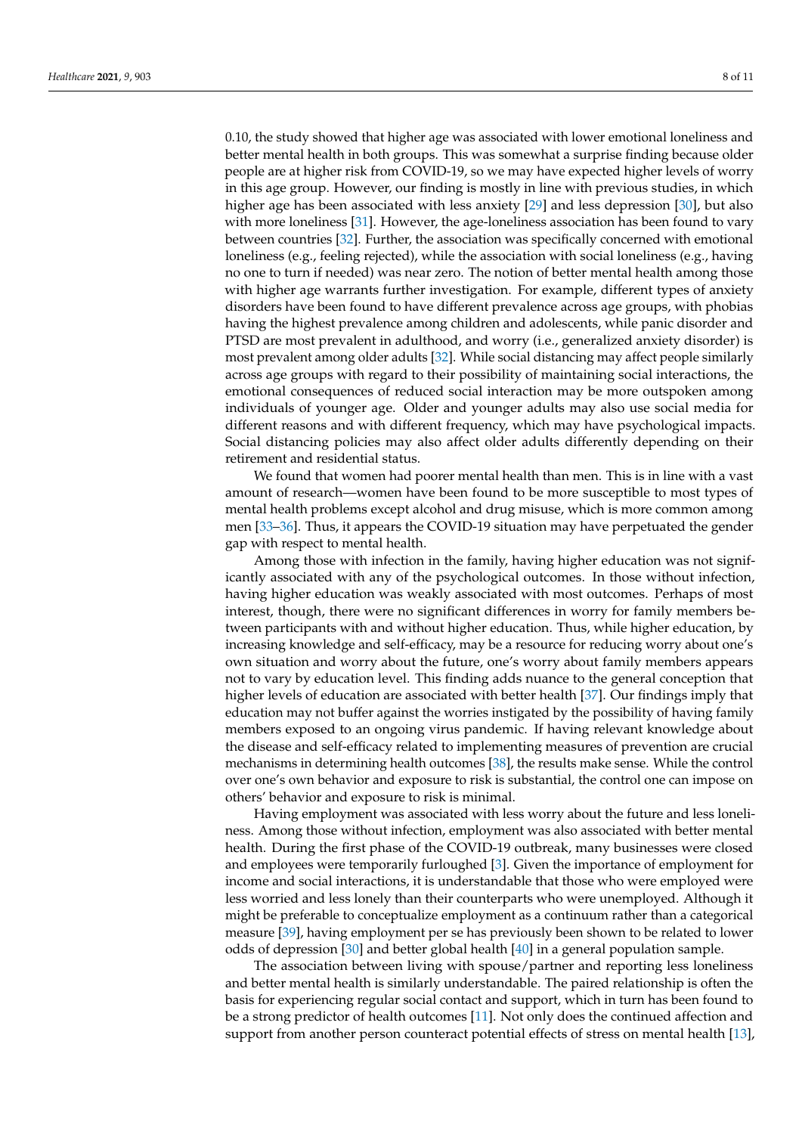0.10, the study showed that higher age was associated with lower emotional loneliness and better mental health in both groups. This was somewhat a surprise finding because older people are at higher risk from COVID-19, so we may have expected higher levels of worry in this age group. However, our finding is mostly in line with previous studies, in which higher age has been associated with less anxiety [29] and less depression [30], but also with more loneliness [31]. However, the age-loneliness association has been found to vary between countries [32]. Further, the association was specifically concerned with emotional loneliness (e.g., feeling rejected), while the association with social loneliness (e.g., having no one to turn if needed) was near zero. The notion of better mental health among those with higher age warrants further investigation. For example, different types of anxiety disorders have been found to have different prevalence across age groups, with phobias having the highest prevalence among children and adolescents, while panic disorder and PTSD are most prevalent in adulthood, and worry (i.e., generalized anxiety disorder) is most prevalent among older adults [32]. While social distancing may affect people similarly across age groups with regard to their possibility of maintaining social interactions, the emotional consequences of reduced social interaction may be more outspoken among individuals of younger age. Older and younger adults may also use social media for different reasons and with different frequency, which may have psychological impacts. Social distancing policies may also affect older adults differently depending on their retirement and residential status.

We found that women had poorer mental health than men. This is in line with a vast amount of research—women have been found to be more susceptible to most types of mental health problems except alcohol and drug misuse, which is more common among men [33–36]. Thus, it appears the COVID-19 situation may have perpetuated the gender gap with respect to mental health.

Among those with infection in the family, having higher education was not significantly associated with any of the psychological outcomes. In those without infection, having higher education was weakly associated with most outcomes. Perhaps of most interest, though, there were no significant differences in worry for family members between participants with and without higher education. Thus, while higher education, by increasing knowledge and self-efficacy, may be a resource for reducing worry about one's own situation and worry about the future, one's worry about family members appears not to vary by education level. This finding adds nuance to the general conception that higher levels of education are associated with better health [37]. Our findings imply that education may not buffer against the worries instigated by the possibility of having family members exposed to an ongoing virus pandemic. If having relevant knowledge about the disease and self-efficacy related to implementing measures of prevention are crucial mechanisms in determining health outcomes [38], the results make sense. While the control over one's own behavior and exposure to risk is substantial, the control one can impose on others' behavior and exposure to risk is minimal.

Having employment was associated with less worry about the future and less loneliness. Among those without infection, employment was also associated with better mental health. During the first phase of the COVID-19 outbreak, many businesses were closed and employees were temporarily furloughed [3]. Given the importance of employment for income and social interactions, it is understandable that those who were employed were less worried and less lonely than their counterparts who were unemployed. Although it might be preferable to conceptualize employment as a continuum rather than a categorical measure [39], having employment per se has previously been shown to be related to lower odds of depression [30] and better global health [40] in a general population sample.

The association between living with spouse/partner and reporting less loneliness and better mental health is similarly understandable. The paired relationship is often the basis for experiencing regular social contact and support, which in turn has been found to be a strong predictor of health outcomes [11]. Not only does the continued affection and support from another person counteract potential effects of stress on mental health [13],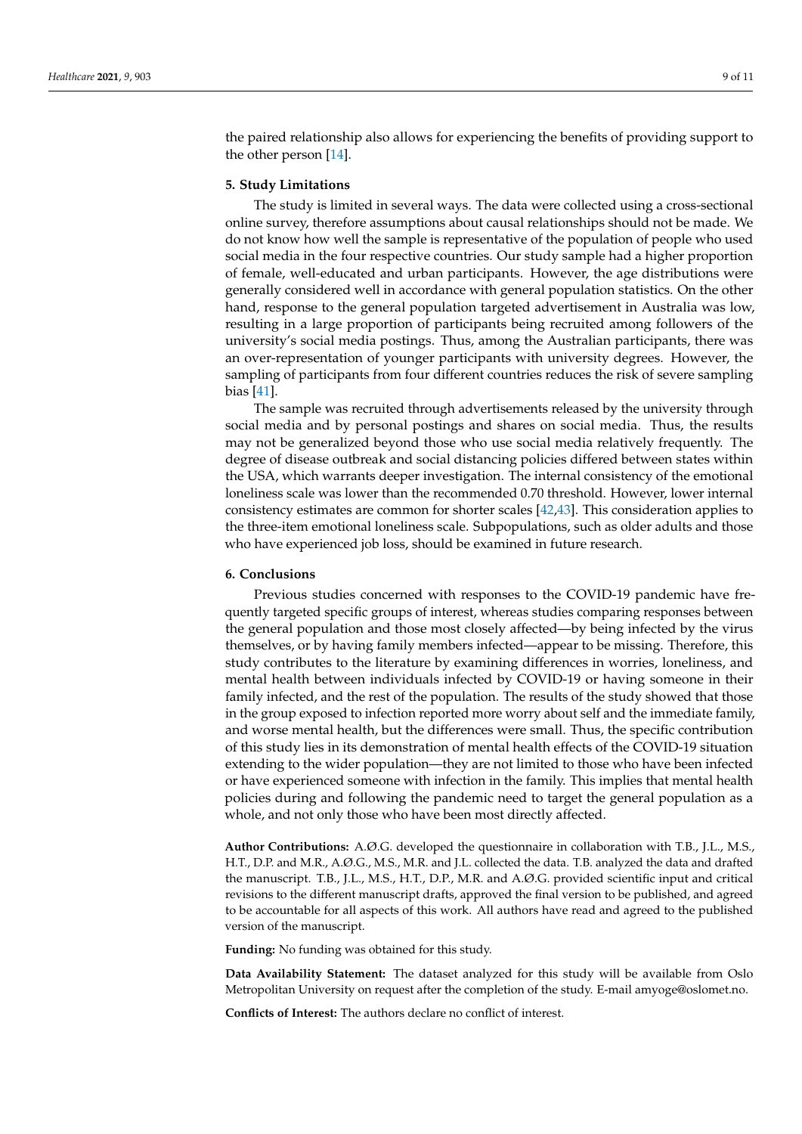the paired relationship also allows for experiencing the benefits of providing support to the other person [14].

# **5. Study Limitations**

The study is limited in several ways. The data were collected using a cross-sectional online survey, therefore assumptions about causal relationships should not be made. We do not know how well the sample is representative of the population of people who used social media in the four respective countries. Our study sample had a higher proportion of female, well-educated and urban participants. However, the age distributions were generally considered well in accordance with general population statistics. On the other hand, response to the general population targeted advertisement in Australia was low, resulting in a large proportion of participants being recruited among followers of the university's social media postings. Thus, among the Australian participants, there was an over-representation of younger participants with university degrees. However, the sampling of participants from four different countries reduces the risk of severe sampling bias [41].

The sample was recruited through advertisements released by the university through social media and by personal postings and shares on social media. Thus, the results may not be generalized beyond those who use social media relatively frequently. The degree of disease outbreak and social distancing policies differed between states within the USA, which warrants deeper investigation. The internal consistency of the emotional loneliness scale was lower than the recommended 0.70 threshold. However, lower internal consistency estimates are common for shorter scales [42,43]. This consideration applies to the three-item emotional loneliness scale. Subpopulations, such as older adults and those who have experienced job loss, should be examined in future research.

# **6. Conclusions**

Previous studies concerned with responses to the COVID-19 pandemic have frequently targeted specific groups of interest, whereas studies comparing responses between the general population and those most closely affected—by being infected by the virus themselves, or by having family members infected—appear to be missing. Therefore, this study contributes to the literature by examining differences in worries, loneliness, and mental health between individuals infected by COVID-19 or having someone in their family infected, and the rest of the population. The results of the study showed that those in the group exposed to infection reported more worry about self and the immediate family, and worse mental health, but the differences were small. Thus, the specific contribution of this study lies in its demonstration of mental health effects of the COVID-19 situation extending to the wider population—they are not limited to those who have been infected or have experienced someone with infection in the family. This implies that mental health policies during and following the pandemic need to target the general population as a whole, and not only those who have been most directly affected.

**Author Contributions:** A.Ø.G. developed the questionnaire in collaboration with T.B., J.L., M.S., H.T., D.P. and M.R., A.Ø.G., M.S., M.R. and J.L. collected the data. T.B. analyzed the data and drafted the manuscript. T.B., J.L., M.S., H.T., D.P., M.R. and A.Ø.G. provided scientific input and critical revisions to the different manuscript drafts, approved the final version to be published, and agreed to be accountable for all aspects of this work. All authors have read and agreed to the published version of the manuscript.

**Funding:** No funding was obtained for this study.

**Data Availability Statement:** The dataset analyzed for this study will be available from Oslo Metropolitan University on request after the completion of the study. E-mail amyoge@oslomet.no.

**Conflicts of Interest:** The authors declare no conflict of interest.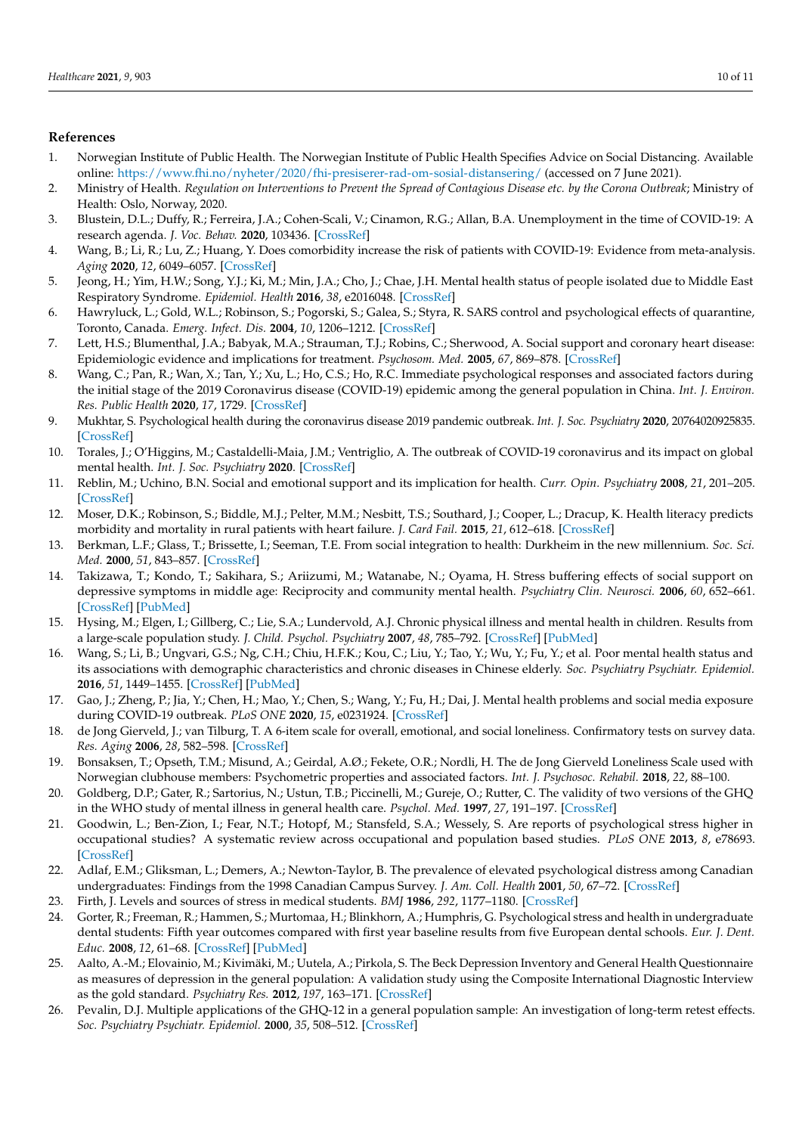# **References**

- 1. Norwegian Institute of Public Health. The Norwegian Institute of Public Health Specifies Advice on Social Distancing. Available online: https://www.fhi.no/nyheter/2020/fhi-presiserer-rad-om-sosial-distansering/ (accessed on 7 June 2021).
- 2. Ministry of Health. *Regulation on Interventions to Prevent the Spread of Contagious Disease etc. by the Corona Outbreak*; Ministry of Health: Oslo, Norway, 2020.
- 3. Blustein, D.L.; Duffy, R.; Ferreira, J.A.; Cohen-Scali, V.; Cinamon, R.G.; Allan, B.A. Unemployment in the time of COVID-19: A research agenda. *J. Voc. Behav.* **2020**, 103436. [CrossRef]
- 4. Wang, B.; Li, R.; Lu, Z.; Huang, Y. Does comorbidity increase the risk of patients with COVID-19: Evidence from meta-analysis. *Aging* **2020**, *12*, 6049–6057. [CrossRef]
- 5. Jeong, H.; Yim, H.W.; Song, Y.J.; Ki, M.; Min, J.A.; Cho, J.; Chae, J.H. Mental health status of people isolated due to Middle East Respiratory Syndrome. *Epidemiol. Health* **2016**, *38*, e2016048. [CrossRef]
- 6. Hawryluck, L.; Gold, W.L.; Robinson, S.; Pogorski, S.; Galea, S.; Styra, R. SARS control and psychological effects of quarantine, Toronto, Canada. *Emerg. Infect. Dis.* **2004**, *10*, 1206–1212. [CrossRef]
- 7. Lett, H.S.; Blumenthal, J.A.; Babyak, M.A.; Strauman, T.J.; Robins, C.; Sherwood, A. Social support and coronary heart disease: Epidemiologic evidence and implications for treatment. *Psychosom. Med.* **2005**, *67*, 869–878. [CrossRef]
- 8. Wang, C.; Pan, R.; Wan, X.; Tan, Y.; Xu, L.; Ho, C.S.; Ho, R.C. Immediate psychological responses and associated factors during the initial stage of the 2019 Coronavirus disease (COVID-19) epidemic among the general population in China. *Int. J. Environ. Res. Public Health* **2020**, *17*, 1729. [CrossRef]
- 9. Mukhtar, S. Psychological health during the coronavirus disease 2019 pandemic outbreak. *Int. J. Soc. Psychiatry* **2020**, 20764020925835. [CrossRef]
- 10. Torales, J.; O'Higgins, M.; Castaldelli-Maia, J.M.; Ventriglio, A. The outbreak of COVID-19 coronavirus and its impact on global mental health. *Int. J. Soc. Psychiatry* **2020**. [CrossRef]
- 11. Reblin, M.; Uchino, B.N. Social and emotional support and its implication for health. *Curr. Opin. Psychiatry* **2008**, *21*, 201–205. [CrossRef]
- 12. Moser, D.K.; Robinson, S.; Biddle, M.J.; Pelter, M.M.; Nesbitt, T.S.; Southard, J.; Cooper, L.; Dracup, K. Health literacy predicts morbidity and mortality in rural patients with heart failure. *J. Card Fail.* **2015**, *21*, 612–618. [CrossRef]
- 13. Berkman, L.F.; Glass, T.; Brissette, I.; Seeman, T.E. From social integration to health: Durkheim in the new millennium. *Soc. Sci. Med.* **2000**, *51*, 843–857. [CrossRef]
- 14. Takizawa, T.; Kondo, T.; Sakihara, S.; Ariizumi, M.; Watanabe, N.; Oyama, H. Stress buffering effects of social support on depressive symptoms in middle age: Reciprocity and community mental health. *Psychiatry Clin. Neurosci.* **2006**, *60*, 652–661. [CrossRef] [PubMed]
- 15. Hysing, M.; Elgen, I.; Gillberg, C.; Lie, S.A.; Lundervold, A.J. Chronic physical illness and mental health in children. Results from a large-scale population study. *J. Child. Psychol. Psychiatry* **2007**, *48*, 785–792. [CrossRef] [PubMed]
- 16. Wang, S.; Li, B.; Ungvari, G.S.; Ng, C.H.; Chiu, H.F.K.; Kou, C.; Liu, Y.; Tao, Y.; Wu, Y.; Fu, Y.; et al. Poor mental health status and its associations with demographic characteristics and chronic diseases in Chinese elderly. *Soc. Psychiatry Psychiatr. Epidemiol.* **2016**, *51*, 1449–1455. [CrossRef] [PubMed]
- 17. Gao, J.; Zheng, P.; Jia, Y.; Chen, H.; Mao, Y.; Chen, S.; Wang, Y.; Fu, H.; Dai, J. Mental health problems and social media exposure during COVID-19 outbreak. *PLoS ONE* **2020**, *15*, e0231924. [CrossRef]
- 18. de Jong Gierveld, J.; van Tilburg, T. A 6-item scale for overall, emotional, and social loneliness. Confirmatory tests on survey data. *Res. Aging* **2006**, *28*, 582–598. [CrossRef]
- 19. Bonsaksen, T.; Opseth, T.M.; Misund, A.; Geirdal, A.Ø.; Fekete, O.R.; Nordli, H. The de Jong Gierveld Loneliness Scale used with Norwegian clubhouse members: Psychometric properties and associated factors. *Int. J. Psychosoc. Rehabil.* **2018**, *22*, 88–100.
- 20. Goldberg, D.P.; Gater, R.; Sartorius, N.; Ustun, T.B.; Piccinelli, M.; Gureje, O.; Rutter, C. The validity of two versions of the GHQ in the WHO study of mental illness in general health care. *Psychol. Med.* **1997**, *27*, 191–197. [CrossRef]
- 21. Goodwin, L.; Ben-Zion, I.; Fear, N.T.; Hotopf, M.; Stansfeld, S.A.; Wessely, S. Are reports of psychological stress higher in occupational studies? A systematic review across occupational and population based studies. *PLoS ONE* **2013**, *8*, e78693. [CrossRef]
- 22. Adlaf, E.M.; Gliksman, L.; Demers, A.; Newton-Taylor, B. The prevalence of elevated psychological distress among Canadian undergraduates: Findings from the 1998 Canadian Campus Survey. *J. Am. Coll. Health* **2001**, *50*, 67–72. [CrossRef]
- 23. Firth, J. Levels and sources of stress in medical students. *BMJ* **1986**, *292*, 1177–1180. [CrossRef]
- 24. Gorter, R.; Freeman, R.; Hammen, S.; Murtomaa, H.; Blinkhorn, A.; Humphris, G. Psychological stress and health in undergraduate dental students: Fifth year outcomes compared with first year baseline results from five European dental schools. *Eur. J. Dent. Educ.* **2008**, *12*, 61–68. [CrossRef] [PubMed]
- 25. Aalto, A.-M.; Elovainio, M.; Kivimäki, M.; Uutela, A.; Pirkola, S. The Beck Depression Inventory and General Health Questionnaire as measures of depression in the general population: A validation study using the Composite International Diagnostic Interview as the gold standard. *Psychiatry Res.* **2012**, *197*, 163–171. [CrossRef]
- 26. Pevalin, D.J. Multiple applications of the GHQ-12 in a general population sample: An investigation of long-term retest effects. *Soc. Psychiatry Psychiatr. Epidemiol.* **2000**, *35*, 508–512. [CrossRef]